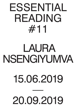# ESSENTIAL READING #11

# LAURA NSENGIYUMVA

## 15.06.2019

—

### 20.09.2019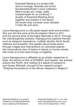Essential Reading is a project that aims to enlarge, diversify and enrich Kunstenbibliotheek's book collection. Which books are, today, really indispensable for an art library ? Guests of Essential Reading bring together and present in the library the books they consider most valuable in their life and work.

Laura Nsengiyumva is a Brussels-based artist and architect. She won the first prize at the Kunstsalon Ghent in 2011, and the second prize at the Dakar Biennale in 2012. Through her interdisciplinary practice, Nsengiyumva explores themes such as diasporic experience, multiple identity, North-South relations and empathy. She speaks about these topics through images and interventions on colonized spaces. Her transcultural view of history is based on human stories that invite us to find what brings us together.

Laura Nsengiyumva is affiliated as an artistic researcher to Kask, the School of Arts of HOGENT, and howest. Her artivists actions like PeoPL (the melting of a statue of Leopold 2) and Queen Nikkolah, are part of her research project "Shaping the presence of the African diaspora in Belgium".

Essential Reading is a project initiated by Kunstenbibliotheek and curated by Els Roelandt.

Essential Reading #11 is on view at Kunstenbibliotheek from June 15th until 20 September 2019.